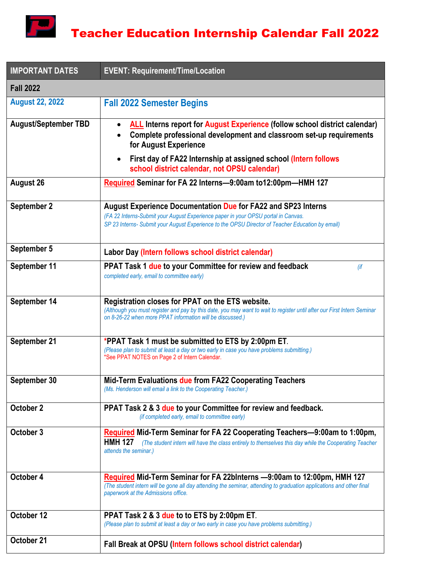

| <b>IMPORTANT DATES</b>      | <b>EVENT: Requirement/Time/Location</b>                                                                                                                                                                                                                           |  |
|-----------------------------|-------------------------------------------------------------------------------------------------------------------------------------------------------------------------------------------------------------------------------------------------------------------|--|
| <b>Fall 2022</b>            |                                                                                                                                                                                                                                                                   |  |
| <b>August 22, 2022</b>      | <b>Fall 2022 Semester Begins</b>                                                                                                                                                                                                                                  |  |
| <b>August/September TBD</b> | <b>ALL</b> Interns report for August Experience (follow school district calendar)<br>$\bullet$<br>Complete professional development and classroom set-up requirements<br>for August Experience<br>First day of FA22 Internship at assigned school (Intern follows |  |
|                             | school district calendar, not OPSU calendar)                                                                                                                                                                                                                      |  |
| <b>August 26</b>            | Required Seminar for FA 22 Interns-9:00am to12:00pm-HMH 127                                                                                                                                                                                                       |  |
| September 2                 | <b>August Experience Documentation Due for FA22 and SP23 Interns</b><br>(FA 22 Interns-Submit your August Experience paper in your OPSU portal in Canvas.<br>SP 23 Interns- Submit your August Experience to the OPSU Director of Teacher Education by email)     |  |
| September 5                 | Labor Day (Intern follows school district calendar)                                                                                                                                                                                                               |  |
| September 11                | PPAT Task 1 due to your Committee for review and feedback<br>(if<br>completed early, email to committee early)                                                                                                                                                    |  |
| September 14                | Registration closes for PPAT on the ETS website.<br>(Although you must register and pay by this date, you may want to wait to register until after our First Intern Seminar<br>on 8-26-22 when more PPAT information will be discussed.)                          |  |
| September 21                | *PPAT Task 1 must be submitted to ETS by 2:00pm ET.<br>(Please plan to submit at least a day or two early in case you have problems submitting.)<br>*See PPAT NOTES on Page 2 of Intern Calendar.                                                                 |  |
| September 30                | Mid-Term Evaluations due from FA22 Cooperating Teachers<br>(Ms. Henderson will email a link to the Cooperating Teacher.)                                                                                                                                          |  |
| October 2                   | PPAT Task 2 & 3 due to your Committee for review and feedback.<br>(if completed early, email to committee early)                                                                                                                                                  |  |
| October 3                   | Required Mid-Term Seminar for FA 22 Cooperating Teachers-9:00am to 1:00pm,<br><b>HMH 127</b><br>(The student intern will have the class entirely to themselves this day while the Cooperating Teacher<br>attends the seminar.)                                    |  |
| October 4                   | Required Mid-Term Seminar for FA 22binterns -9:00am to 12:00pm, HMH 127<br>(The student intern will be gone all day attending the seminar, attending to graduation applications and other final<br>paperwork at the Admissions office.                            |  |
| October 12                  | PPAT Task 2 & 3 due to to ETS by 2:00pm ET.<br>(Please plan to submit at least a day or two early in case you have problems submitting.)                                                                                                                          |  |
| October 21                  | Fall Break at OPSU (Intern follows school district calendar)                                                                                                                                                                                                      |  |